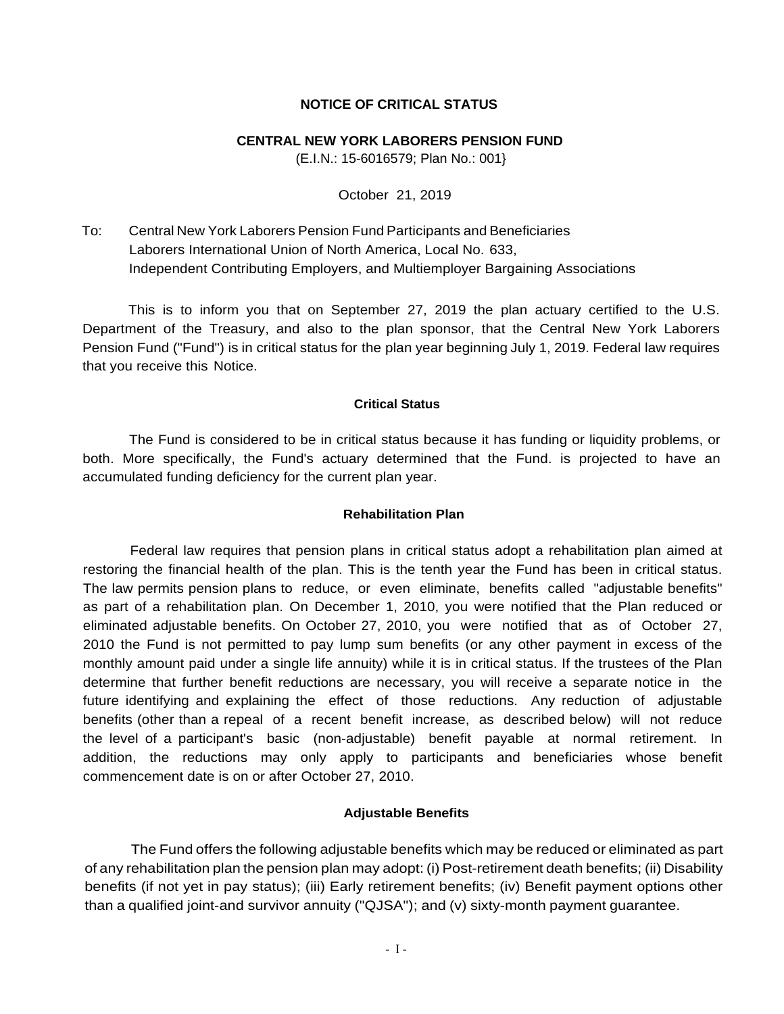## **NOTICE OF CRITICAL STATUS**

#### **CENTRAL NEW YORK LABORERS PENSION FUND**

(E.I.N.: 15-6016579; Plan No.: 001}

#### October 21, 2019

To: Laborers International Union of North America, Local No. 633, Central New York Laborers Pension Fund Participants and Beneficiaries Independent Contributing Employers, and Multiemployer Bargaining Associations

 Department of the Treasury, and also to the plan sponsor, that the Central New York Laborers Pension Fund ("Fund") is in critical status for the plan year beginning July 1, 2019. Federal law requires This is to inform you that on September 27, 2019 the plan actuary certified to the U.S. that you receive this Notice.

#### **Critical Status**

 accumulated funding deficiency for the current plan year. The Fund is considered to be in critical status because it has funding or liquidity problems, or both. More specifically, the Fund's actuary determined that the Fund. is projected to have an

## **Rehabilitation Plan**

 Federal law requires that pension plans in critical status adopt a rehabilitation plan aimed at restoring the financial health of the plan. This is the tenth year the Fund has been in critical status. eliminated adjustable benefits. On October 27, 2010, you were notified that as of October 27, 2010 the Fund is not permitted to pay lump sum benefits (or any other payment in excess of the future identifying and explaining the effect of those reductions. Any reduction of adjustable benefits (other than a repeal of a recent benefit increase, as described below) will not reduce commencement date is on or after October 27, 2010. The law permits pension plans to reduce, or even eliminate, benefits called "adjustable benefits" as part of a rehabilitation plan. On December 1, 2010, you were notified that the Plan reduced or monthly amount paid under a single life annuity) while it is in critical status. If the trustees of the Plan determine that further benefit reductions are necessary, you will receive a separate notice in the the level of a participant's basic (non-adjustable) benefit payable at normal retirement. In addition, the reductions may only apply to participants and beneficiaries whose benefit

## **Adjustable Benefits**

 The Fund offers the following adjustable benefits which may be reduced or eliminated as part of any rehabilitation plan the pension plan may adopt: (i) Post-retirement death benefits; (ii) Disability benefits (if not yet in pay status); (iii) Early retirement benefits; (iv) Benefit payment options other than a qualified joint-and survivor annuity ("QJSA"); and (v) sixty-month payment guarantee.